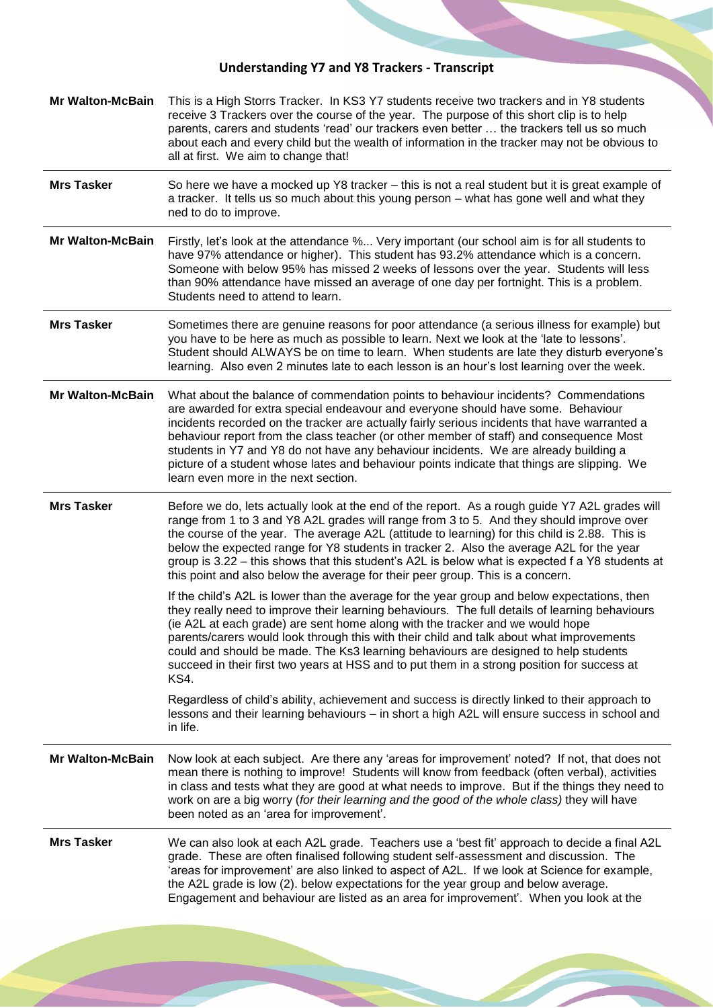## **Understanding Y7 and Y8 Trackers - Transcript**

|                         | <b>Understanding Y7 and Y8 Trackers - Transcript</b>                                                                                                                                                                                                                                                                                                                                                                                                                                                                                                                                               |
|-------------------------|----------------------------------------------------------------------------------------------------------------------------------------------------------------------------------------------------------------------------------------------------------------------------------------------------------------------------------------------------------------------------------------------------------------------------------------------------------------------------------------------------------------------------------------------------------------------------------------------------|
| <b>Mr Walton-McBain</b> | This is a High Storrs Tracker. In KS3 Y7 students receive two trackers and in Y8 students<br>receive 3 Trackers over the course of the year. The purpose of this short clip is to help<br>parents, carers and students 'read' our trackers even better  the trackers tell us so much<br>about each and every child but the wealth of information in the tracker may not be obvious to<br>all at first. We aim to change that!                                                                                                                                                                      |
| <b>Mrs Tasker</b>       | So here we have a mocked up Y8 tracker – this is not a real student but it is great example of<br>a tracker. It tells us so much about this young person - what has gone well and what they<br>ned to do to improve.                                                                                                                                                                                                                                                                                                                                                                               |
| <b>Mr Walton-McBain</b> | Firstly, let's look at the attendance % Very important (our school aim is for all students to<br>have 97% attendance or higher). This student has 93.2% attendance which is a concern.<br>Someone with below 95% has missed 2 weeks of lessons over the year. Students will less<br>than 90% attendance have missed an average of one day per fortnight. This is a problem.<br>Students need to attend to learn.                                                                                                                                                                                   |
| <b>Mrs Tasker</b>       | Sometimes there are genuine reasons for poor attendance (a serious illness for example) but<br>you have to be here as much as possible to learn. Next we look at the 'late to lessons'.<br>Student should ALWAYS be on time to learn. When students are late they disturb everyone's<br>learning. Also even 2 minutes late to each lesson is an hour's lost learning over the week.                                                                                                                                                                                                                |
| <b>Mr Walton-McBain</b> | What about the balance of commendation points to behaviour incidents? Commendations<br>are awarded for extra special endeavour and everyone should have some. Behaviour<br>incidents recorded on the tracker are actually fairly serious incidents that have warranted a<br>behaviour report from the class teacher (or other member of staff) and consequence Most<br>students in Y7 and Y8 do not have any behaviour incidents. We are already building a<br>picture of a student whose lates and behaviour points indicate that things are slipping. We<br>learn even more in the next section. |
| <b>Mrs Tasker</b>       | Before we do, lets actually look at the end of the report. As a rough guide Y7 A2L grades will<br>range from 1 to 3 and Y8 A2L grades will range from 3 to 5. And they should improve over<br>the course of the year. The average A2L (attitude to learning) for this child is 2.88. This is<br>below the expected range for Y8 students in tracker 2. Also the average A2L for the year<br>group is 3.22 - this shows that this student's A2L is below what is expected f a Y8 students at<br>this point and also below the average for their peer group. This is a concern.                      |
|                         | If the child's A2L is lower than the average for the year group and below expectations, then<br>they really need to improve their learning behaviours. The full details of learning behaviours<br>(ie A2L at each grade) are sent home along with the tracker and we would hope<br>parents/carers would look through this with their child and talk about what improvements<br>could and should be made. The Ks3 learning behaviours are designed to help students<br>succeed in their first two years at HSS and to put them in a strong position for success at<br>KS4.                          |
|                         | Regardless of child's ability, achievement and success is directly linked to their approach to<br>lessons and their learning behaviours - in short a high A2L will ensure success in school and<br>in life.                                                                                                                                                                                                                                                                                                                                                                                        |
| <b>Mr Walton-McBain</b> | Now look at each subject. Are there any 'areas for improvement' noted? If not, that does not<br>mean there is nothing to improve! Students will know from feedback (often verbal), activities<br>in class and tests what they are good at what needs to improve. But if the things they need to<br>work on are a big worry (for their learning and the good of the whole class) they will have<br>been noted as an 'area for improvement'.                                                                                                                                                         |
| <b>Mrs Tasker</b>       | We can also look at each A2L grade. Teachers use a 'best fit' approach to decide a final A2L<br>grade. These are often finalised following student self-assessment and discussion. The<br>'areas for improvement' are also linked to aspect of A2L. If we look at Science for example,<br>the A2L grade is low (2). below expectations for the year group and below average.<br>Engagement and behaviour are listed as an area for improvement'. When you look at the                                                                                                                              |